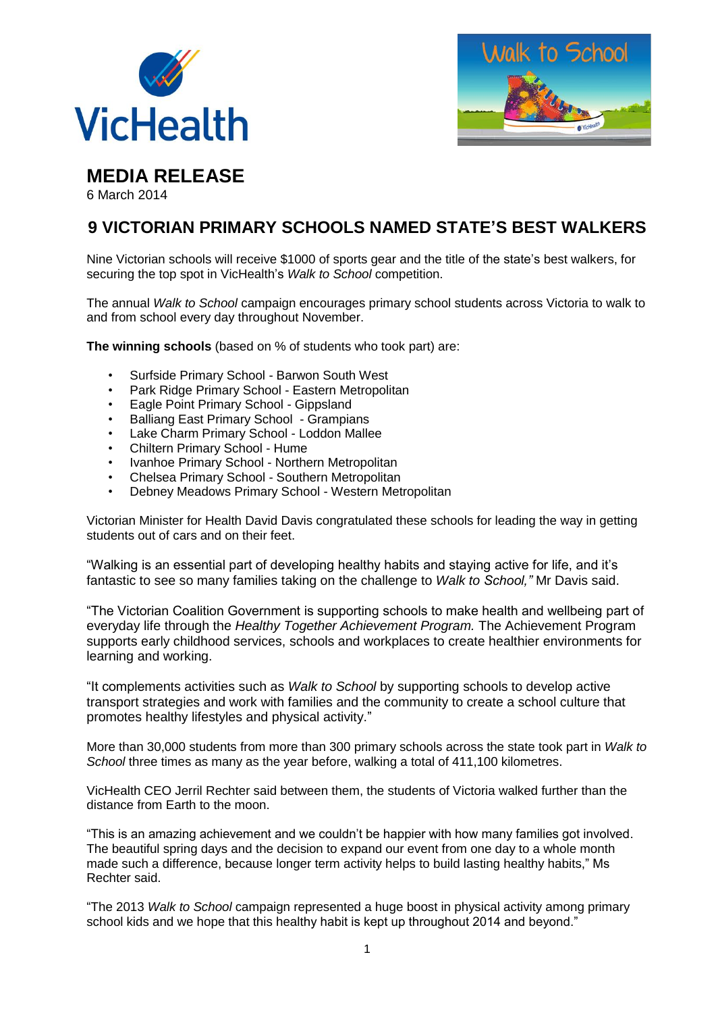



**MEDIA RELEASE**

6 March 2014

## **9 VICTORIAN PRIMARY SCHOOLS NAMED STATE'S BEST WALKERS**

Nine Victorian schools will receive \$1000 of sports gear and the title of the state's best walkers, for securing the top spot in VicHealth's *Walk to School* competition.

The annual *Walk to School* campaign encourages primary school students across Victoria to walk to and from school every day throughout November.

**The winning schools** (based on % of students who took part) are:

- Surfside Primary School Barwon South West
- Park Ridge Primary School Eastern Metropolitan
- Eagle Point Primary School Gippsland
- Balliang East Primary School Grampians
- Lake Charm Primary School Loddon Mallee
- Chiltern Primary School Hume
- Ivanhoe Primary School Northern Metropolitan
- Chelsea Primary School Southern Metropolitan
- Debney Meadows Primary School Western Metropolitan

Victorian Minister for Health David Davis congratulated these schools for leading the way in getting students out of cars and on their feet.

"Walking is an essential part of developing healthy habits and staying active for life, and it's fantastic to see so many families taking on the challenge to *Walk to School,"* Mr Davis said.

"The Victorian Coalition Government is supporting schools to make health and wellbeing part of everyday life through the *Healthy Together Achievement Program.* The Achievement Program supports early childhood services, schools and workplaces to create healthier environments for learning and working.

"It complements activities such as *Walk to School* by supporting schools to develop active transport strategies and work with families and the community to create a school culture that promotes healthy lifestyles and physical activity."

More than 30,000 students from more than 300 primary schools across the state took part in *Walk to School* three times as many as the year before, walking a total of 411,100 kilometres.

VicHealth CEO Jerril Rechter said between them, the students of Victoria walked further than the distance from Earth to the moon.

"This is an amazing achievement and we couldn't be happier with how many families got involved. The beautiful spring days and the decision to expand our event from one day to a whole month made such a difference, because longer term activity helps to build lasting healthy habits," Ms Rechter said.

"The 2013 *Walk to School* campaign represented a huge boost in physical activity among primary school kids and we hope that this healthy habit is kept up throughout 2014 and beyond."